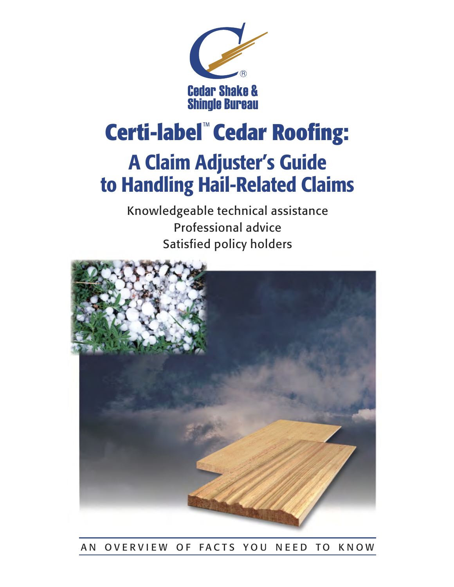

## Certi-label<sup>™</sup> Cedar Roofing:

## A Claim Adjuster's Guide to Handling Hail-Related Claims

Knowledgeable technical assistance Professional advice Satisfied policy holders



## AN OVERVIEW OF FACTS YOU NEED TO KNOW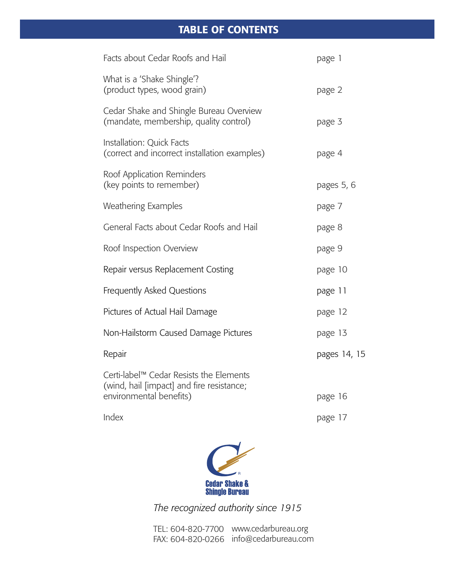## TABLE OF CONTENTS

| Facts about Cedar Roofs and Hail                                                                                | page 1       |
|-----------------------------------------------------------------------------------------------------------------|--------------|
| What is a 'Shake Shingle'?<br>(product types, wood grain)                                                       | page 2       |
| Cedar Shake and Shingle Bureau Overview<br>(mandate, membership, quality control)                               | page 3       |
| Installation: Quick Facts<br>(correct and incorrect installation examples)                                      | page 4       |
| Roof Application Reminders<br>(key points to remember)                                                          | pages 5, 6   |
| <b>Weathering Examples</b>                                                                                      | page 7       |
| General Facts about Cedar Roofs and Hail                                                                        | page 8       |
| Roof Inspection Overview                                                                                        | page 9       |
| Repair versus Replacement Costing                                                                               | page 10      |
| Frequently Asked Questions                                                                                      | page 11      |
| Pictures of Actual Hail Damage                                                                                  | page 12      |
| Non-Hailstorm Caused Damage Pictures                                                                            | page 13      |
| Repair                                                                                                          | pages 14, 15 |
| Certi-label™ Cedar Resists the Elements<br>(wind, hail [impact] and fire resistance;<br>environmental benefits) | page 16      |
| Index                                                                                                           | page 17      |
|                                                                                                                 |              |



*The recognized authority since 1915*

TEL: 604-820-7700 www.cedarbureau.org FAX: 604-820-0266 info@cedarbureau.com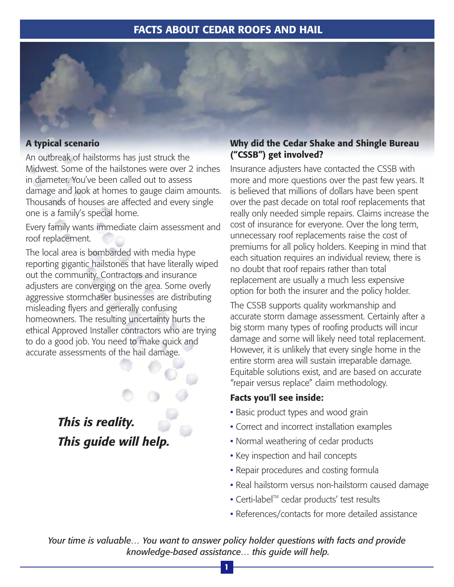## FACTS ABOUT CEDAR ROOFS AND HAIL

#### A typical scenario

An outbreak of hailstorms has just struck the Midwest. Some of the hailstones were over 2 inches in diameter. You've been called out to assess damage and look at homes to gauge claim amounts. Thousands of houses are affected and every single one is a family's special home.

Every family wants immediate claim assessment and roof replacement.

The local area is bombarded with media hype reporting gigantic hailstones that have literally wiped out the community. Contractors and insurance adjusters are converging on the area. Some overly aggressive stormchaser businesses are distributing misleading flyers and generally confusing homeowners. The resulting uncertainty hurts the ethical Approved Installer contractors who are trying to do a good job. You need to make quick and accurate assessments of the hail damage.

> *This is reality. This guide will help.*

## Why did the Cedar Shake and Shingle Bureau ("CSSB") get involved?

Insurance adjusters have contacted the CSSB with more and more questions over the past few years. It is believed that millions of dollars have been spent over the past decade on total roof replacements that really only needed simple repairs. Claims increase the cost of insurance for everyone. Over the long term, unnecessary roof replacements raise the cost of premiums for all policy holders. Keeping in mind that each situation requires an individual review, there is no doubt that roof repairs rather than total replacement are usually a much less expensive option for both the insurer and the policy holder.

The CSSB supports quality workmanship and accurate storm damage assessment. Certainly after a big storm many types of roofing products will incur damage and some will likely need total replacement. However, it is unlikely that every single home in the entire storm area will sustain irreparable damage. Equitable solutions exist, and are based on accurate "repair versus replace" claim methodology.

#### Facts you'll see inside:

- Basic product types and wood grain
- Correct and incorrect installation examples •
- Normal weathering of cedar products
- $\bullet$  Key inspection and hail concepts
- Repair procedures and costing formula
- Real hailstorm versus non-hailstorm caused damage •
- Certi-label<sup>™</sup> cedar products' test results
- References/contacts for more detailed assistance •

*Your time is valuable… You want to answer policy holder questions with facts and provide knowledge-based assistance… this guide will help.*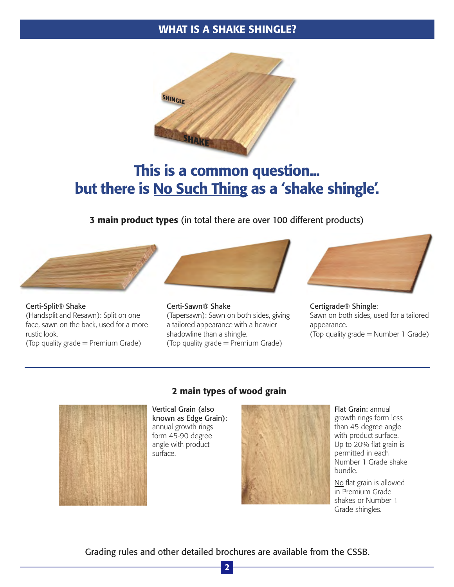## WHAT IS A SHAKE SHINGLE?



## This is a common question... but there is No Such Thing as a 'shake shingle'.

3 main product types (in total there are over 100 different products)



Certi-Split® Shake (Handsplit and Resawn): Split on one face, sawn on the back, used for a more rustic look.

(Top quality grade = Premium Grade)



Certi-Sawn® Shake (Tapersawn): Sawn on both sides, giving a tailored appearance with a heavier shadowline than a shingle. (Top quality grade = Premium Grade)



Certigrade® Shingle: Sawn on both sides, used for a tailored appearance. (Top quality grade = Number 1 Grade)



#### 2 main types of wood grain

Vertical Grain (also known as Edge Grain): annual growth rings form 45-90 degree angle with product surface.



Flat Grain: annual growth rings form less than 45 degree angle with product surface. Up to 20% flat grain is permitted in each Number 1 Grade shake bundle.

No flat grain is allowed in Premium Grade shakes or Number 1 Grade shingles.

Grading rules and other detailed brochures are available from the CSSB.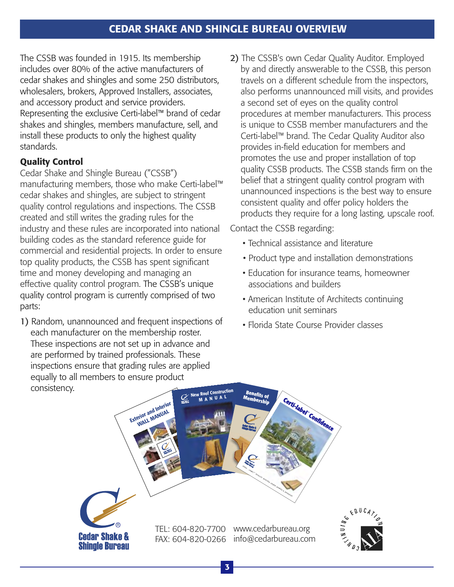The CSSB was founded in 1915. Its membership includes over 80% of the active manufacturers of cedar shakes and shingles and some 250 distributors, wholesalers, brokers, Approved Installers, associates, and accessory product and service providers. Representing the exclusive Certi-label™ brand of cedar shakes and shingles, members manufacture, sell, and install these products to only the highest quality standards.

## Quality Control

Cedar Shake and Shingle Bureau ("CSSB") manufacturing members, those who make Certi-label™ cedar shakes and shingles, are subject to stringent quality control regulations and inspections. The CSSB created and still writes the grading rules for the industry and these rules are incorporated into national building codes as the standard reference guide for commercial and residential projects. In order to ensure top quality products, the CSSB has spent significant time and money developing and managing an effective quality control program. The CSSB's unique quality control program is currently comprised of two parts:

1) Random, unannounced and frequent inspections of each manufacturer on the membership roster. These inspections are not set up in advance and are performed by trained professionals. These inspections ensure that grading rules are applied equally to all members to ensure product consistency.

2) The CSSB's own Cedar Quality Auditor. Employed by and directly answerable to the CSSB, this person travels on a different schedule from the inspectors, also performs unannounced mill visits, and provides a second set of eyes on the quality control procedures at member manufacturers. This process is unique to CSSB member manufacturers and the Certi-label™ brand. The Cedar Quality Auditor also provides in-field education for members and promotes the use and proper installation of top quality CSSB products. The CSSB stands firm on the belief that a stringent quality control program with unannounced inspections is the best way to ensure consistent quality and offer policy holders the products they require for a long lasting, upscale roof.

Contact the CSSB regarding:

- Technical assistance and literature
- Product type and installation demonstrations
- Education for insurance teams, homeowner associations and builders
- American Institute of Architects continuing education unit seminars
- Florida State Course Provider classes

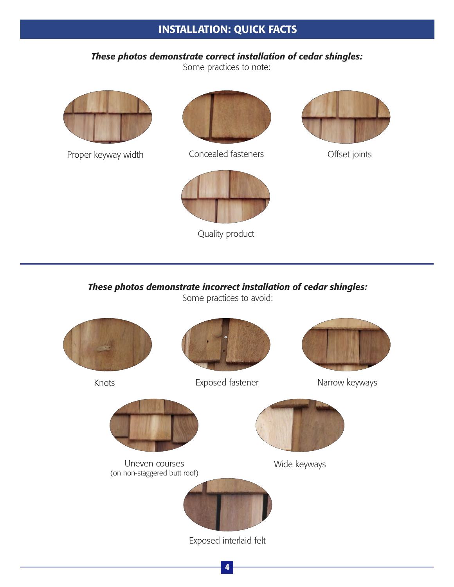## INSTALLATION: QUICK FACTS

## *These photos demonstrate correct installation of cedar shingles:*

Some practices to note:



Proper keyway width



Concealed fasteners **Concealed fasteners Concealed** 



Quality product



*These photos demonstrate incorrect installation of cedar shingles:*

Some practices to avoid:

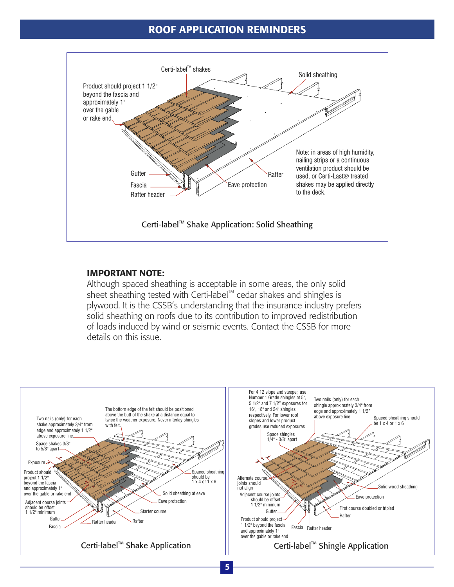#### ROOF APPLICATION REMINDERS



#### IMPORTANT NOTE:

Although spaced sheathing is acceptable in some areas, the only solid sheet sheathing tested with Certi-label<sup>™</sup> cedar shakes and shingles is plywood. It is the CSSB's understanding that the insurance industry prefers solid sheathing on roofs due to its contribution to improved redistribution of loads induced by wind or seismic events. Contact the CSSB for more details on this issue.

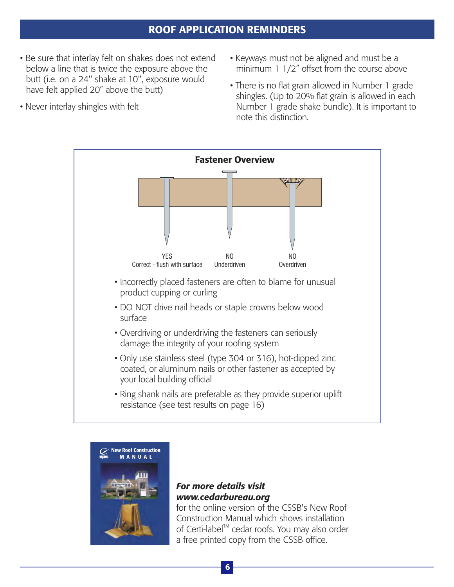## ROOF APPLICATION REMINDERS

- Be sure that interlay felt on shakes does not extend below a line that is twice the exposure above the butt (i.e. on a 24" shake at 10", exposure would have felt applied 20" above the butt)
- Never interlay shingles with felt
- Keyways must not be aligned and must be a minimum 1 1/2" offset from the course above
- There is no flat grain allowed in Number 1 grade shingles. (Up to 20% flat grain is allowed in each Number 1 grade shake bundle). It is important to note this distinction.





## *For more details visit www.cedarbureau.org*

for the online version of the CSSB's New Roof Construction Manual which shows installation of Certi-label™ cedar roofs. You may also order a free printed copy from the CSSB office.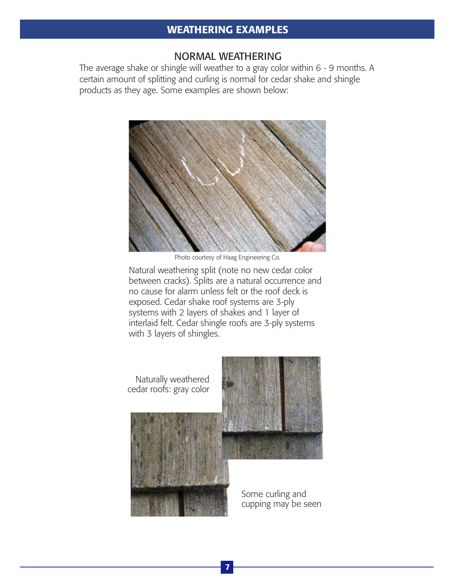#### WEATHERING EXAMPLES

#### NORMAL WEATHERING

The average shake or shingle will weather to a gray color within 6 - 9 months. A certain amount of splitting and curling is normal for cedar shake and shingle products as they age. Some examples are shown below:



Photo courtesy of Haag Engineering Co.

Natural weathering split (note no new cedar color between cracks). Splits are a natural occurrence and no cause for alarm unless felt or the roof deck is exposed. Cedar shake roof systems are 3-ply systems with 2 layers of shakes and 1 layer of interlaid felt. Cedar shingle roofs are 3-ply systems with 3 layers of shingles.

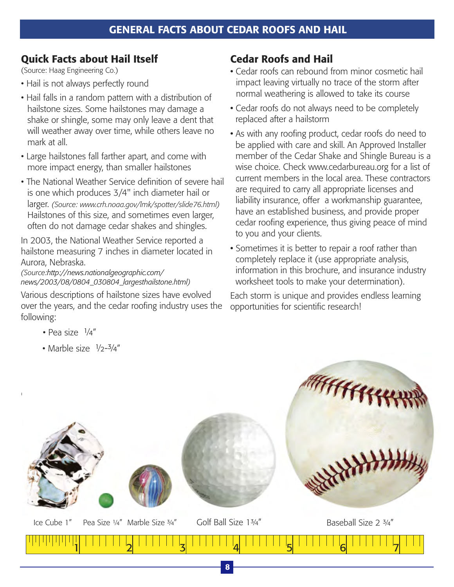## Quick Facts about Hail Itself

(Source: Haag Engineering Co.)

- Hail is not always perfectly round
- Hail falls in a random pattern with a distribution of hailstone sizes. Some hailstones may damage a shake or shingle, some may only leave a dent that will weather away over time, while others leave no mark at all.
- Large hailstones fall farther apart, and come with more impact energy, than smaller hailstones
- The National Weather Service definition of severe hail is one which produces 3/4" inch diameter hail or larger. *(Source: www.crh.noaa.gov/lmk/spotter/slide76.html)* Hailstones of this size, and sometimes even larger, often do not damage cedar shakes and shingles.

In 2003, the National Weather Service reported a hailstone measuring 7 inches in diameter located in Aurora, Nebraska.

*(Source: http://news.nationalgeographic.com/ ) news/2003/08/0804\_030804\_largesthailstone.html*

Various descriptions of hailstone sizes have evolved over the years, and the cedar roofing industry uses the following:

- Pea size  $\frac{1}{4}$ "
- Marble size  $1/2 3/4$ "

## Cedar Roofs and Hail

- Cedar roofs can rebound from minor cosmetic hail impact leaving virtually no trace of the storm after normal weathering is allowed to take its course
- Cedar roofs do not always need to be completely replaced after a hailstorm
- As with any roofing product, cedar roofs do need to be applied with care and skill. An Approved Installer member of the Cedar Shake and Shingle Bureau is a wise choice. Check www.cedarbureau.org for a list of current members in the local area. These contractors are required to carry all appropriate licenses and liability insurance, offer a workmanship guarantee, have an established business, and provide proper cedar roofing experience, thus giving peace of mind to you and your clients.
- Sometimes it is better to repair a roof rather than completely replace it (use appropriate analysis, information in this brochure, and insurance industry worksheet tools to make your determination).

Each storm is unique and provides endless learning opportunities for scientific research!

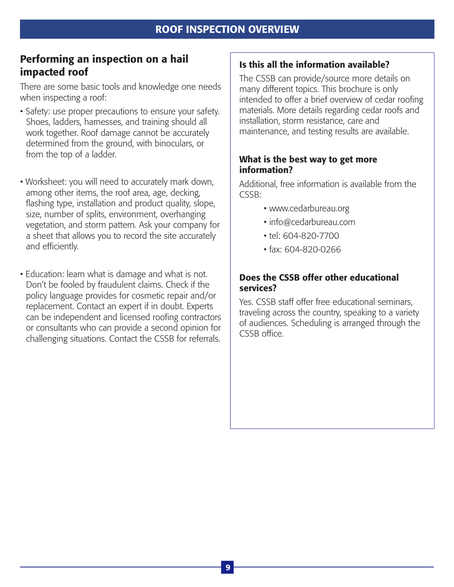## Performing an inspection on a hail impacted roof

There are some basic tools and knowledge one needs when inspecting a roof:

- Safety: use proper precautions to ensure your safety. Shoes, ladders, harnesses, and training should all work together. Roof damage cannot be accurately determined from the ground, with binoculars, or from the top of a ladder.
- Worksheet: you will need to accurately mark down, among other items, the roof area, age, decking, flashing type, installation and product quality, slope, size, number of splits, environment, overhanging vegetation, and storm pattern. Ask your company for a sheet that allows you to record the site accurately and efficiently.
- Education: learn what is damage and what is not. Don't be fooled by fraudulent claims. Check if the policy language provides for cosmetic repair and/or replacement. Contact an expert if in doubt. Experts can be independent and licensed roofing contractors or consultants who can provide a second opinion for challenging situations. Contact the CSSB for referrals.

## Is this all the information available?

The CSSB can provide/source more details on many different topics. This brochure is only intended to offer a brief overview of cedar roofing materials. More details regarding cedar roofs and installation, storm resistance, care and maintenance, and testing results are available.

#### What is the best way to get more information?

Additional, free information is available from the CSSB:

- www.cedarbureau.org
- info@cedarbureau.com
- tel: 604-820-7700
- fax: 604-820-0266

#### Does the CSSB offer other educational services?

Yes. CSSB staff offer free educational seminars, traveling across the country, speaking to a variety of audiences. Scheduling is arranged through the CSSB office.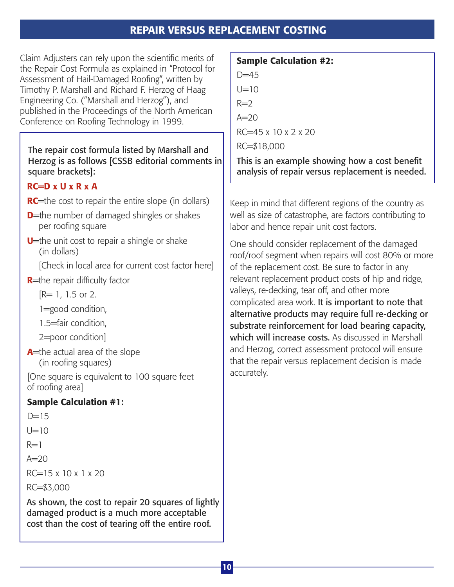## REPAIR VERSUS REPLACEMENT COSTING

Claim Adjusters can rely upon the scientific merits of the Repair Cost Formula as explained in "Protocol for Assessment of Hail-Damaged Roofing", written by Timothy P. Marshall and Richard F. Herzog of Haag Engineering Co. ("Marshall and Herzog"), and published in the Proceedings of the North American Conference on Roofing Technology in 1999.

## The repair cost formula listed by Marshall and Herzog is as follows [CSSB editorial comments in square brackets]:

## $RC=D \times U \times R \times A$

- **RC**=the cost to repair the entire slope (in dollars)
- **D**=the number of damaged shingles or shakes per roofing square
- **U**=the unit cost to repair a shingle or shake (in dollars)

[Check in local area for current cost factor here]

**R**=the repair difficulty factor

[R= 1, 1.5 or 2.

1=good condition,

1.5=fair condition,

2=poor condition]

**A**=the actual area of the slope (in roofing squares)

[One square is equivalent to 100 square feet of roofing area]

## Sample Calculation #1:

```
D=15I\equiv10R=1A=20RC=15 x 10 x 1 x 20
RC=$3,000
As shown, the cost to repair 20 squares of lightly 
damaged product is a much more acceptable 
cost than the cost of tearing off the entire roof.
```
## Sample Calculation #2:  $D = 45$  $1 = 10$  $R=2$  $A=20$  $RC=45 \times 10 \times 2 \times 20$ RC=\$18,000

This is an example showing how a cost benefit analysis of repair versus replacement is needed.

Keep in mind that different regions of the country as well as size of catastrophe, are factors contributing to labor and hence repair unit cost factors.

One should consider replacement of the damaged roof/roof segment when repairs will cost 80% or more of the replacement cost. Be sure to factor in any relevant replacement product costs of hip and ridge, valleys, re-decking, tear off, and other more complicated area work. It is important to note that alternative products may require full re-decking or substrate reinforcement for load bearing capacity, which will increase costs. As discussed in Marshall and Herzog, correct assessment protocol will ensure that the repair versus replacement decision is made accurately.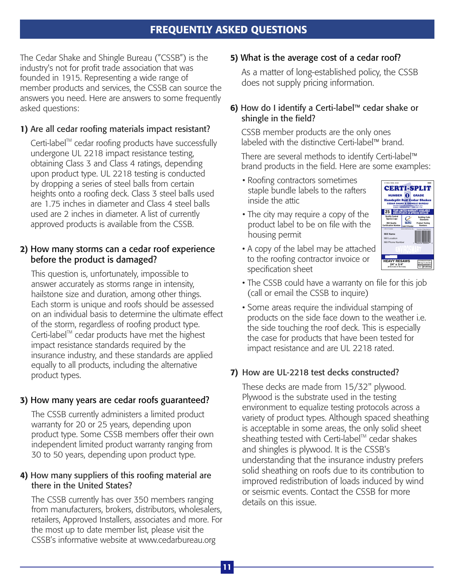## FREQUENTLY ASKED QUESTIONS

The Cedar Shake and Shingle Bureau ("CSSB") is the industry's not for profit trade association that was founded in 1915. Representing a wide range of member products and services, the CSSB can source the answers you need. Here are answers to some frequently asked questions:

#### 1) Are all cedar roofing materials impact resistant?

 $C$ erti-label<sup>™</sup> cedar roofing products have successfully undergone UL 2218 impact resistance testing, obtaining Class 3 and Class 4 ratings, depending upon product type. UL 2218 testing is conducted by dropping a series of steel balls from certain heights onto a roofing deck. Class 3 steel balls used are 1.75 inches in diameter and Class 4 steel balls used are 2 inches in diameter. A list of currently approved products is available from the CSSB.

#### 2) How many storms can a cedar roof experience before the product is damaged?

This question is, unfortunately, impossible to answer accurately as storms range in intensity, hailstone size and duration, among other things. Each storm is unique and roofs should be assessed on an individual basis to determine the ultimate effect of the storm, regardless of roofing product type. Certi-label<sup>™</sup> cedar products have met the highest impact resistance standards required by the insurance industry, and these standards are applied equally to all products, including the alternative product types.

#### 3) How many years are cedar roofs guaranteed?

The CSSB currently administers a limited product warranty for 20 or 25 years, depending upon product type. Some CSSB members offer their own independent limited product warranty ranging from 30 to 50 years, depending upon product type.

#### 4) How many suppliers of this roofing material are there in the United States?

The CSSB currently has over 350 members ranging from manufacturers, brokers, distributors, wholesalers, retailers, Approved Installers, associates and more. For the most up to date member list, please visit the CSSB's informative website at www.cedarbureau.org

#### 5) What is the average cost of a cedar roof?

As a matter of long-established policy, the CSSB does not supply pricing information.

#### 6) How do I identify a Certi-label™ cedar shake or shingle in the field?

CSSB member products are the only ones labeled with the distinctive Certi-label™ brand.

There are several methods to identify Certi-label™ brand products in the field. Here are some examples:

- Roofing contractors sometimes staple bundle labels to the rafters inside the attic
- The city may require a copy of the product label to be on file with the housing permit

![](_page_12_Picture_17.jpeg)

- A copy of the label may be attached to the roofing contractor invoice or specification sheet
- The CSSB could have a warranty on file for this job (call or email the CSSB to inquire)
- Some areas require the individual stamping of products on the side face down to the weather i.e. the side touching the roof deck. This is especially the case for products that have been tested for impact resistance and are UL 2218 rated.

#### 7) How are UL-2218 test decks constructed?

These decks are made from 15/32" plywood. Plywood is the substrate used in the testing environment to equalize testing protocols across a variety of product types. Although spaced sheathing is acceptable in some areas, the only solid sheet sheathing tested with Certi-label<sup>"</sup> cedar shakes and shingles is plywood. It is the CSSB's understanding that the insurance industry prefers solid sheathing on roofs due to its contribution to improved redistribution of loads induced by wind or seismic events. Contact the CSSB for more details on this issue.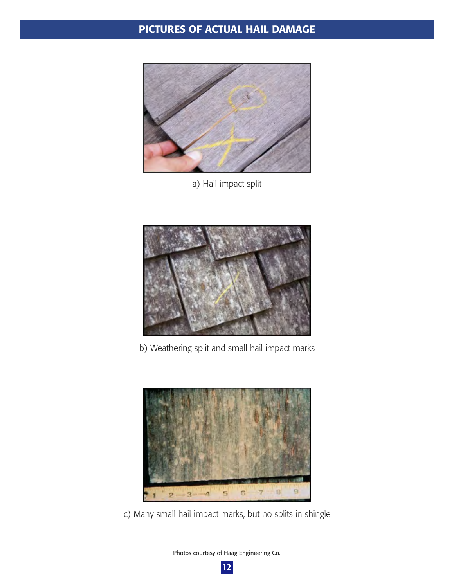## PICTURES OF ACTUAL HAIL DAMAGE

![](_page_13_Picture_1.jpeg)

a) Hail impact split

![](_page_13_Picture_3.jpeg)

b) Weathering split and small hail impact marks

![](_page_13_Picture_5.jpeg)

c) Many small hail impact marks, but no splits in shingle

Photos courtesy of Haag Engineering Co. 12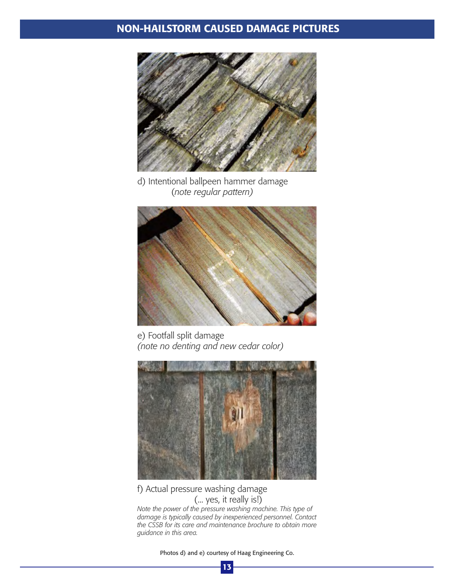## NON-HAILSTORM CAUSED DAMAGE PICTURES

![](_page_14_Picture_1.jpeg)

d) Intentional ballpeen hammer damage (*note regular pattern)*

![](_page_14_Picture_3.jpeg)

e) Footfall split damage *(note no denting and new cedar color)*

![](_page_14_Picture_5.jpeg)

f) Actual pressure washing damage (... yes, it really is!)

*Note the power of the pressure washing machine. This type of damage is typically caused by inexperienced personnel. Contact the CSSB for its care and maintenance brochure to obtain more guidance in this area.*

Photos d) and e) courtesy of Haag Engineering Co.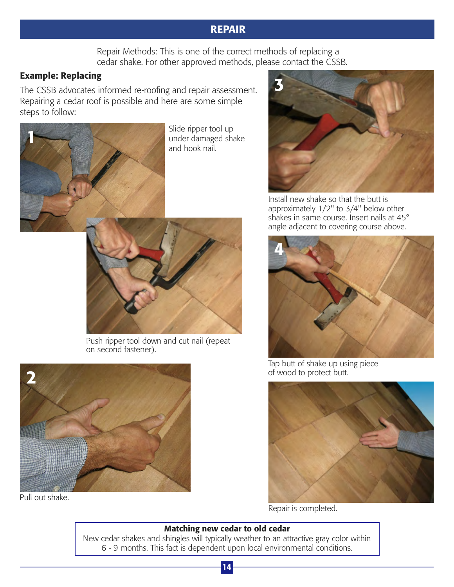## REPAIR

Repair Methods: This is one of the correct methods of replacing a cedar shake. For other approved methods, please contact the CSSB.

## Example: Replacing

The CSSB advocates informed re-roofing and repair assessment. Repairing a cedar roof is possible and here are some simple steps to follow:

![](_page_15_Picture_4.jpeg)

Slide ripper tool up under damaged shake and hook nail.

![](_page_15_Picture_6.jpeg)

Push ripper tool down and cut nail (repeat on second fastener).

![](_page_15_Picture_8.jpeg)

Pull out shake.

![](_page_15_Picture_10.jpeg)

Install new shake so that the butt is approximately 1/2" to 3/4" below other shakes in same course. Insert nails at 45° angle adjacent to covering course above.

![](_page_15_Picture_12.jpeg)

Tap butt of shake up using piece of wood to protect butt.

![](_page_15_Picture_14.jpeg)

Repair is completed.

#### Matching new cedar to old cedar

New cedar shakes and shingles will typically weather to an attractive gray color within 6 - 9 months. This fact is dependent upon local environmental conditions.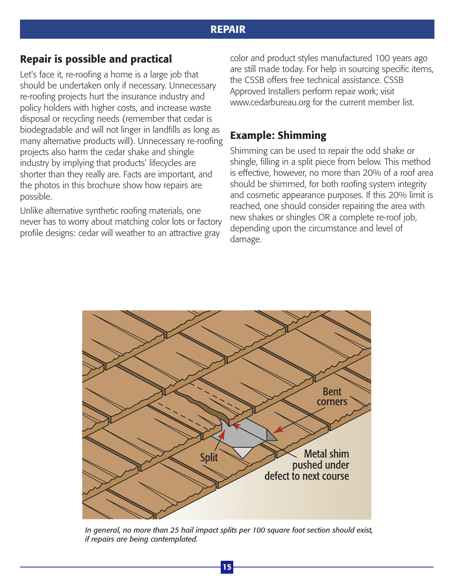## REPAIR

## Repair is possible and practical

Let's face it, re-roofing a home is a large job that should be undertaken only if necessary. Unnecessary re-roofing projects hurt the insurance industry and policy holders with higher costs, and increase waste disposal or recycling needs (remember that cedar is biodegradable and will not linger in landfills as long as many alternative products will). Unnecessary re-roofing projects also harm the cedar shake and shingle industry by implying that products' lifecycles are shorter than they really are. Facts are important, and the photos in this brochure show how repairs are possible.

Unlike alternative synthetic roofing materials, one never has to worry about matching color lots or factory profile designs: cedar will weather to an attractive gray

color and product styles manufactured 100 years ago are still made today. For help in sourcing specific items, the CSSB offers free technical assistance. CSSB Approved Installers perform repair work; visit www.cedarbureau.org for the current member list.

## Example: Shimming

Shimming can be used to repair the odd shake or shingle, filling in a split piece from below. This method is effective, however, no more than 20% of a roof area should be shimmed, for both roofing system integrity and cosmetic appearance purposes. If this 20% limit is reached, one should consider repairing the area with new shakes or shingles OR a complete re-roof job, depending upon the circumstance and level of damage.

![](_page_16_Figure_7.jpeg)

*In general, no more than 25 hail impact splits per 100 square foot section should exist, if repairs are being contemplated.*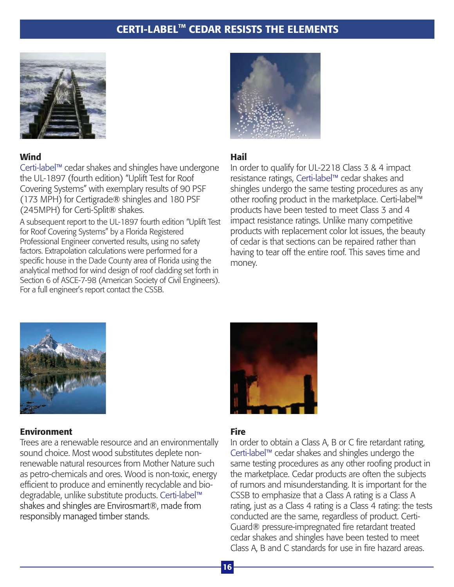## CERTI-LABEL<sup>™</sup> CEDAR RESISTS THE ELEMENTS

![](_page_17_Picture_1.jpeg)

#### **Wind**

Certi-label™ cedar shakes and shingles have undergone the UL-1897 (fourth edition) "Uplift Test for Roof Covering Systems" with exemplary results of 90 PSF (173 MPH) for Certigrade® shingles and 180 PSF (245MPH) for Certi-Split® shakes.

A subsequent report to the UL-1897 fourth edition "Uplift Test for Roof Covering Systems" by a Florida Registered Professional Engineer converted results, using no safety factors. Extrapolation calculations were performed for a specific house in the Dade County area of Florida using the analytical method for wind design of roof cladding set forth in Section 6 of ASCE-7-98 (American Society of Civil Engineers). For a full engineer's report contact the CSSB.

![](_page_17_Picture_5.jpeg)

#### Hail

In order to qualify for UL-2218 Class 3 & 4 impact resistance ratings, Certi-label™ cedar shakes and shingles undergo the same testing procedures as any other roofing product in the marketplace. Certi-label™ products have been tested to meet Class 3 and 4 impact resistance ratings. Unlike many competitive products with replacement color lot issues, the beauty of cedar is that sections can be repaired rather than having to tear off the entire roof. This saves time and money.

![](_page_17_Picture_8.jpeg)

#### Environment

Trees are a renewable resource and an environmentally sound choice. Most wood substitutes deplete nonrenewable natural resources from Mother Nature such as petro-chemicals and ores. Wood is non-toxic, energy efficient to produce and eminently recyclable and biodegradable, unlike substitute products. Certi-label™ shakes and shingles are Envirosmart®, made from I responsibly managed timber stands.

![](_page_17_Picture_11.jpeg)

## Fire

In order to obtain a Class A, B or C fire retardant rating, Certi-label™ cedar shakes and shingles undergo the same testing procedures as any other roofing product in the marketplace. Cedar products are often the subjects of rumors and misunderstanding. It is important for the CSSB to emphasize that a Class A rating is a Class A rating, just as a Class 4 rating is a Class 4 rating: the tests conducted are the same, regardless of product. Certi-Guard® pressure-impregnated fire retardant treated cedar shakes and shingles have been tested to meet Class A, B and C standards for use in fire hazard areas.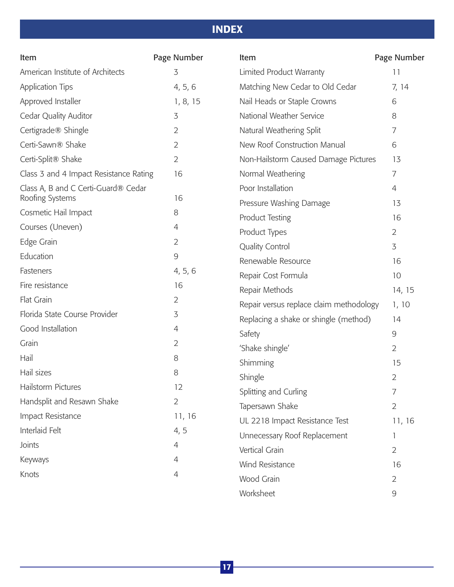## INDEX

| Item                                   | Page Number    | Item                                    | Page Number    |
|----------------------------------------|----------------|-----------------------------------------|----------------|
| American Institute of Architects       | 3              | Limited Product Warranty                | 11             |
| <b>Application Tips</b>                | 4, 5, 6        | Matching New Cedar to Old Cedar         | 7, 14          |
| Approved Installer                     | 1, 8, 15       | Nail Heads or Staple Crowns             | 6              |
| Cedar Quality Auditor                  | 3              | National Weather Service                | 8              |
| Certigrade® Shingle                    | $\overline{2}$ | Natural Weathering Split                | 7              |
| Certi-Sawn® Shake                      | $\overline{2}$ | New Roof Construction Manual            | 6              |
| Certi-Split® Shake                     | $\overline{2}$ | Non-Hailstorm Caused Damage Pictures    | 13             |
| Class 3 and 4 Impact Resistance Rating | 16             | Normal Weathering                       | 7              |
| Class A, B and C Certi-Guard® Cedar    |                | Poor Installation                       | 4              |
| Roofing Systems                        | 16             | Pressure Washing Damage                 | 13             |
| Cosmetic Hail Impact                   | 8              | <b>Product Testing</b>                  | 16             |
| Courses (Uneven)                       | 4              | Product Types                           | $\overline{2}$ |
| Edge Grain                             | $\overline{2}$ | <b>Quality Control</b>                  | 3              |
| Education                              | $\mathcal{G}$  | Renewable Resource                      | 16             |
| Fasteners                              | 4, 5, 6        | Repair Cost Formula                     | 10             |
| Fire resistance                        | 16             | Repair Methods                          | 14, 15         |
| Flat Grain                             | $\overline{2}$ | Repair versus replace claim methodology | 1, 10          |
| Florida State Course Provider          | 3              | Replacing a shake or shingle (method)   | 14             |
| Good Installation                      | 4              | Safety                                  | 9              |
| Grain                                  | $\overline{2}$ | 'Shake shingle'                         | $\overline{2}$ |
| Hail                                   | 8              | Shimming                                | 15             |
| Hail sizes                             | 8              | Shingle                                 | $\overline{2}$ |
| Hailstorm Pictures                     | 12             | Splitting and Curling                   | 7              |
| Handsplit and Resawn Shake             | $\overline{2}$ | Tapersawn Shake                         | $\overline{2}$ |
| Impact Resistance                      | 11, 16         | UL 2218 Impact Resistance Test          | 11, 16         |
| Interlaid Felt                         | 4, 5           | Unnecessary Roof Replacement            | 1              |
| Joints                                 | 4              | Vertical Grain                          | $\overline{2}$ |
| Keyways                                | 4              | Wind Resistance                         | 16             |
| Knots                                  | 4              | Wood Grain                              | $\overline{2}$ |
|                                        |                | Worksheet                               | 9              |